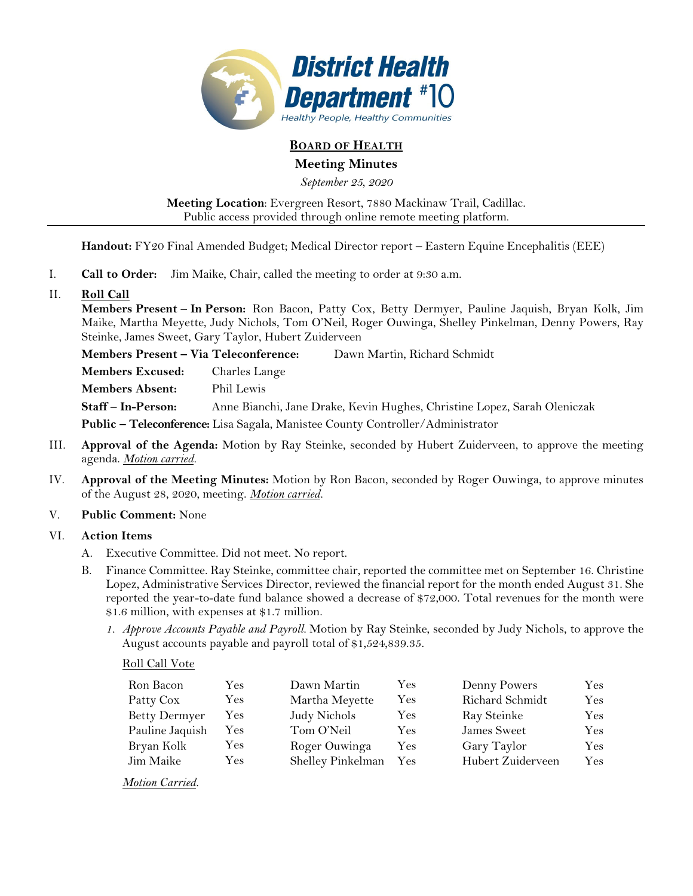

# **BOARD OF HEALTH**

## **Meeting Minutes**

*September 25, 2020* 

**Meeting Location**: Evergreen Resort, 7880 Mackinaw Trail, Cadillac. Public access provided through online remote meeting platform.

**Handout:** FY20 Final Amended Budget; Medical Director report – Eastern Equine Encephalitis (EEE)

- I. **Call to Order:** Jim Maike, Chair, called the meeting to order at 9:30 a.m.
- II. **Roll Call**

**Members Present – In Person:** Ron Bacon, Patty Cox, Betty Dermyer, Pauline Jaquish, Bryan Kolk, Jim Maike, Martha Meyette, Judy Nichols, Tom O'Neil, Roger Ouwinga, Shelley Pinkelman, Denny Powers, Ray Steinke, James Sweet, Gary Taylor, Hubert Zuiderveen

**Members Present – Via Teleconference:** Dawn Martin, Richard Schmidt **Members Excused:** Charles Lange **Members Absent:** Phil Lewis **Staff – In-Person:** Anne Bianchi, Jane Drake, Kevin Hughes, Christine Lopez, Sarah Oleniczak **Public – Teleconference:** Lisa Sagala, Manistee County Controller/Administrator

- III. **Approval of the Agenda:** Motion by Ray Steinke, seconded by Hubert Zuiderveen, to approve the meeting agenda. *Motion carried.*
- IV. **Approval of the Meeting Minutes:** Motion by Ron Bacon, seconded by Roger Ouwinga, to approve minutes of the August 28, 2020, meeting. *Motion carried.*

### V. **Public Comment:** None

### VI. **Action Items**

- A. Executive Committee. Did not meet. No report.
- B. Finance Committee. Ray Steinke, committee chair, reported the committee met on September 16. Christine Lopez, Administrative Services Director, reviewed the financial report for the month ended August 31. She reported the year-to-date fund balance showed a decrease of \$72,000. Total revenues for the month were \$1.6 million, with expenses at \$1.7 million.
	- *1. Approve Accounts Payable and Payroll.* Motion by Ray Steinke, seconded by Judy Nichols, to approve the August accounts payable and payroll total of \$1,524,839.35.

### Roll Call Vote

| Ron Bacon            | Yes        | Dawn Martin       | Yes | Denny Powers      | Yes       |
|----------------------|------------|-------------------|-----|-------------------|-----------|
| Patty Cox            | Yes        | Martha Meyette    | Yes | Richard Schmidt   | $\rm Yes$ |
| <b>Betty Dermyer</b> | Yes        | Judy Nichols      | Yes | Ray Steinke       | Yes       |
| Pauline Jaquish      | Yes        | Tom O'Neil        | Yes | James Sweet       | Yes       |
| Bryan Kolk           | <b>Yes</b> | Roger Ouwinga     | Yes | Gary Taylor       | Yes       |
| Jim Maike            | Yes.       | Shelley Pinkelman | Yes | Hubert Zuiderveen | Yes.      |

*Motion Carried.*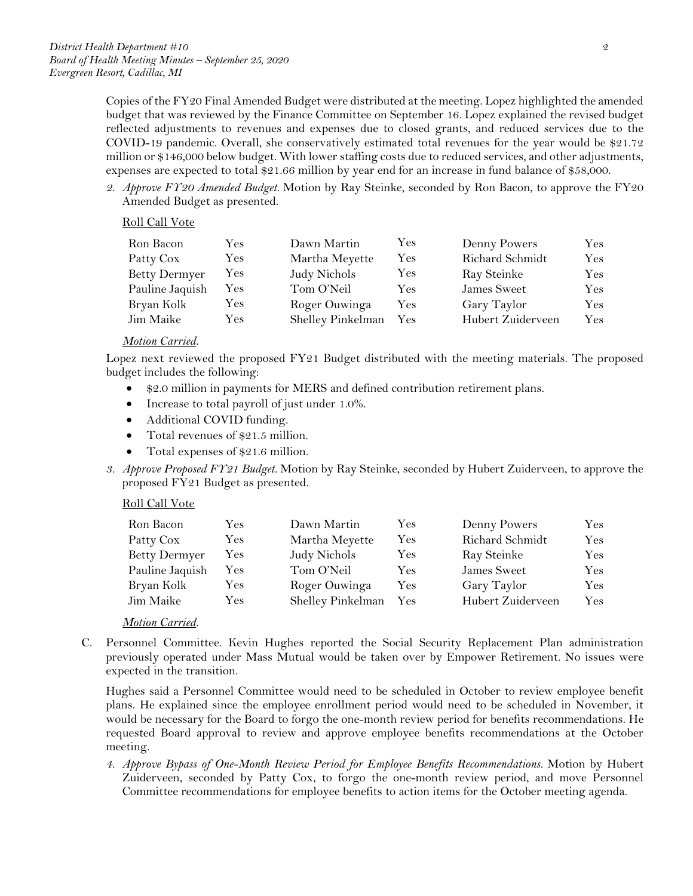Copies of the FY20 Final Amended Budget were distributed at the meeting. Lopez highlighted the amended budget that was reviewed by the Finance Committee on September 16. Lopez explained the revised budget reflected adjustments to revenues and expenses due to closed grants, and reduced services due to the COVID-19 pandemic. Overall, she conservatively estimated total revenues for the year would be \$21.72 million or \$146,000 below budget. With lower staffing costs due to reduced services, and other adjustments, expenses are expected to total \$21.66 million by year end for an increase in fund balance of \$58,000.

*2. Approve FY20 Amended Budget.* Motion by Ray Steinke, seconded by Ron Bacon, to approve the FY20 Amended Budget as presented.

#### Roll Call Vote

| Ron Bacon            | Yes | Dawn Martin       | Yes | Denny Powers      | $\rm Yes$ |
|----------------------|-----|-------------------|-----|-------------------|-----------|
| Patty Cox            | Yes | Martha Meyette    | Yes | Richard Schmidt   | Yes       |
| <b>Betty Dermyer</b> | Yes | Judy Nichols      | Yes | Ray Steinke       | $\rm Yes$ |
| Pauline Jaquish      | Yes | Tom O'Neil        | Yes | James Sweet       | Yes       |
| Bryan Kolk           | Yes | Roger Ouwinga     | Yes | Gary Taylor       | $\rm Yes$ |
| Jim Maike            | Yes | Shelley Pinkelman | Yes | Hubert Zuiderveen | Yes       |

#### *Motion Carried.*

Lopez next reviewed the proposed FY21 Budget distributed with the meeting materials. The proposed budget includes the following:

- \$2.0 million in payments for MERS and defined contribution retirement plans.
- Increase to total payroll of just under 1.0%.
- Additional COVID funding.
- Total revenues of \$21.5 million.
- Total expenses of \$21.6 million.
- *3. Approve Proposed FY21 Budget.* Motion by Ray Steinke, seconded by Hubert Zuiderveen, to approve the proposed FY21 Budget as presented.

### Roll Call Vote

| Ron Bacon            | Yes | Dawn Martin       | Yes | Denny Powers      | Yes |
|----------------------|-----|-------------------|-----|-------------------|-----|
| Patty Cox            | Yes | Martha Meyette    | Yes | Richard Schmidt   | Yes |
| <b>Betty Dermyer</b> | Yes | Judy Nichols      | Yes | Ray Steinke       | Yes |
| Pauline Jaquish      | Yes | Tom O'Neil        | Yes | James Sweet       | Yes |
| Bryan Kolk           | Yes | Roger Ouwinga     | Yes | Gary Taylor       | Yes |
| Jim Maike            | Yes | Shelley Pinkelman | Yes | Hubert Zuiderveen | Yes |

### *Motion Carried.*

C. Personnel Committee. Kevin Hughes reported the Social Security Replacement Plan administration previously operated under Mass Mutual would be taken over by Empower Retirement. No issues were expected in the transition.

Hughes said a Personnel Committee would need to be scheduled in October to review employee benefit plans. He explained since the employee enrollment period would need to be scheduled in November, it would be necessary for the Board to forgo the one-month review period for benefits recommendations. He requested Board approval to review and approve employee benefits recommendations at the October meeting.

*4. Approve Bypass of One-Month Review Period for Employee Benefits Recommendations.* Motion by Hubert Zuiderveen, seconded by Patty Cox, to forgo the one-month review period, and move Personnel Committee recommendations for employee benefits to action items for the October meeting agenda.